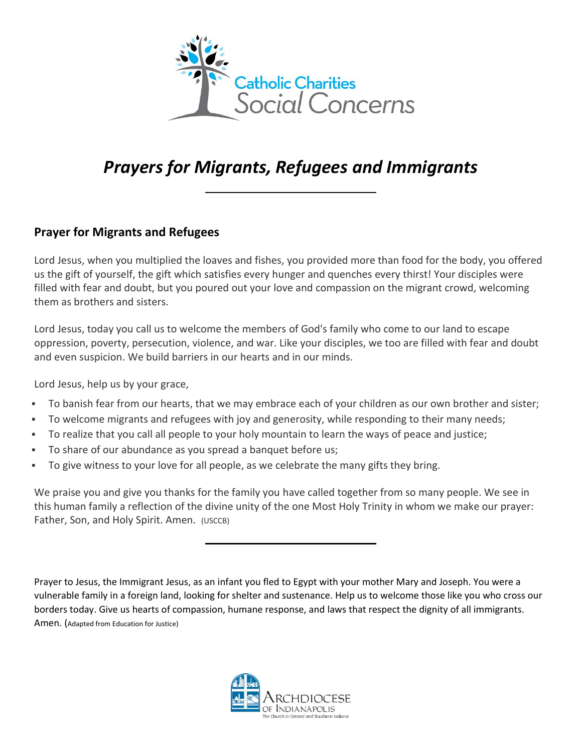

# *Prayers for Migrants, Refugees and Immigrants*

#### **Prayer for Migrants and Refugees**

Lord Jesus, when you multiplied the loaves and fishes, you provided more than food for the body, you offered us the gift of yourself, the gift which satisfies every hunger and quenches every thirst! Your disciples were filled with fear and doubt, but you poured out your love and compassion on the migrant crowd, welcoming them as brothers and sisters.

Lord Jesus, today you call us to welcome the members of God's family who come to our land to escape oppression, poverty, persecution, violence, and war. Like your disciples, we too are filled with fear and doubt and even suspicion. We build barriers in our hearts and in our minds.

Lord Jesus, help us by your grace,

- To banish fear from our hearts, that we may embrace each of your children as our own brother and sister;
- To welcome migrants and refugees with joy and generosity, while responding to their many needs;
- To realize that you call all people to your holy mountain to learn the ways of peace and justice;
- To share of our abundance as you spread a banquet before us;
- To give witness to your love for all people, as we celebrate the many gifts they bring.

We praise you and give you thanks for the family you have called together from so many people. We see in this human family a reflection of the divine unity of the one Most Holy Trinity in whom we make our prayer: Father, Son, and Holy Spirit. Amen. (USCCB)

Prayer to Jesus, the Immigrant Jesus, as an infant you fled to Egypt with your mother Mary and Joseph. You were a vulnerable family in a foreign land, looking for shelter and sustenance. Help us to welcome those like you who cross our borders today. Give us hearts of compassion, humane response, and laws that respect the dignity of all immigrants. Amen. (Adapted from Education for Justice)

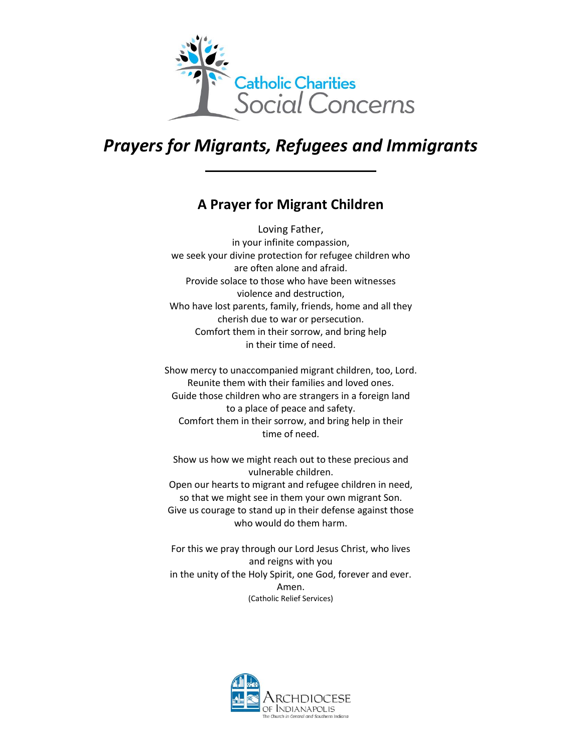

### *Prayers for Migrants, Refugees and Immigrants*

### **A Prayer for Migrant Children**

Loving Father, in your infinite compassion, we seek your divine protection for refugee children who are often alone and afraid. Provide solace to those who have been witnesses violence and destruction, Who have lost parents, family, friends, home and all they cherish due to war or persecution. Comfort them in their sorrow, and bring help in their time of need.

Show mercy to unaccompanied migrant children, too, Lord. Reunite them with their families and loved ones. Guide those children who are strangers in a foreign land to a place of peace and safety. Comfort them in their sorrow, and bring help in their time of need.

Show us how we might reach out to these precious and vulnerable children. Open our hearts to migrant and refugee children in need, so that we might see in them your own migrant Son. Give us courage to stand up in their defense against those who would do them harm.

For this we pray through our Lord Jesus Christ, who lives and reigns with you in the unity of the Holy Spirit, one God, forever and ever. Amen. (Catholic Relief Services)